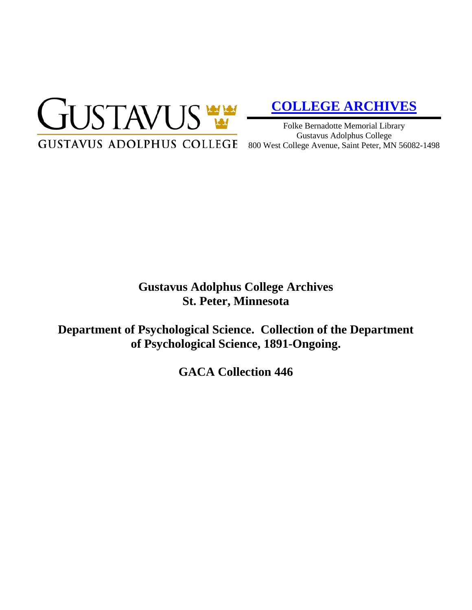

# **[COLLEGE ARCHIVES](http://gustavus.edu/academics/library/archives/)**

Folke Bernadotte Memorial Library Gustavus Adolphus College 800 West College Avenue, Saint Peter, MN 56082-1498

# **Gustavus Adolphus College Archives St. Peter, Minnesota**

**Department of Psychological Science. Collection of the Department of Psychological Science, 1891-Ongoing.**

**GACA Collection 446**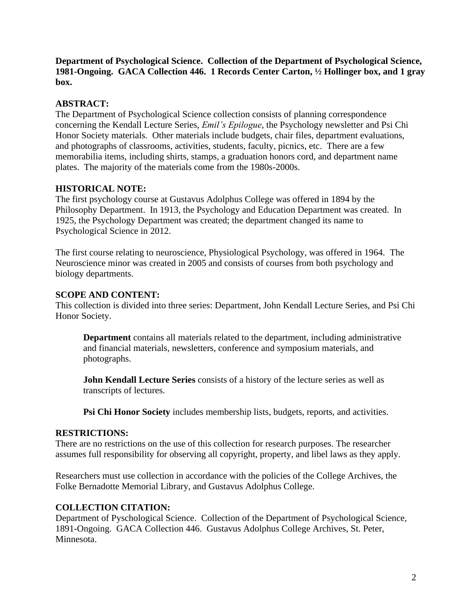**Department of Psychological Science. Collection of the Department of Psychological Science, 1981-Ongoing. GACA Collection 446. 1 Records Center Carton, ½ Hollinger box, and 1 gray box.**

## **ABSTRACT:**

The Department of Psychological Science collection consists of planning correspondence concerning the Kendall Lecture Series, *Emil's Epilogue*, the Psychology newsletter and Psi Chi Honor Society materials. Other materials include budgets, chair files, department evaluations, and photographs of classrooms, activities, students, faculty, picnics, etc. There are a few memorabilia items, including shirts, stamps, a graduation honors cord, and department name plates. The majority of the materials come from the 1980s-2000s.

## **HISTORICAL NOTE:**

The first psychology course at Gustavus Adolphus College was offered in 1894 by the Philosophy Department. In 1913, the Psychology and Education Department was created. In 1925, the Psychology Department was created; the department changed its name to Psychological Science in 2012.

The first course relating to neuroscience, Physiological Psychology, was offered in 1964. The Neuroscience minor was created in 2005 and consists of courses from both psychology and biology departments.

#### **SCOPE AND CONTENT:**

This collection is divided into three series: Department, John Kendall Lecture Series, and Psi Chi Honor Society.

**Department** contains all materials related to the department, including administrative and financial materials, newsletters, conference and symposium materials, and photographs.

**John Kendall Lecture Series** consists of a history of the lecture series as well as transcripts of lectures.

**Psi Chi Honor Society** includes membership lists, budgets, reports, and activities.

#### **RESTRICTIONS:**

There are no restrictions on the use of this collection for research purposes. The researcher assumes full responsibility for observing all copyright, property, and libel laws as they apply.

Researchers must use collection in accordance with the policies of the College Archives, the Folke Bernadotte Memorial Library, and Gustavus Adolphus College.

#### **COLLECTION CITATION:**

Department of Pyschological Science. Collection of the Department of Psychological Science, 1891-Ongoing. GACA Collection 446. Gustavus Adolphus College Archives, St. Peter, Minnesota.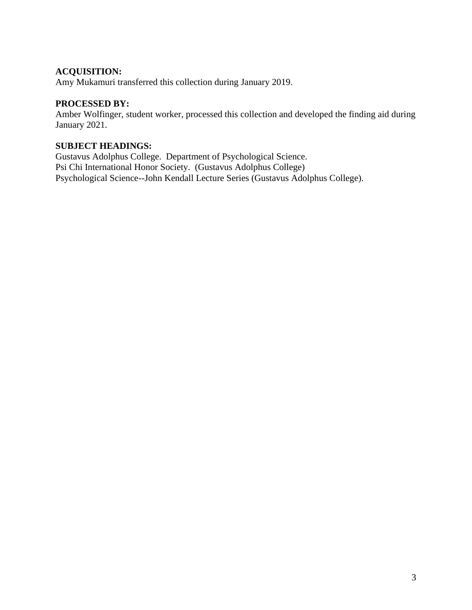#### **ACQUISITION:**

Amy Mukamuri transferred this collection during January 2019.

#### **PROCESSED BY:**

Amber Wolfinger, student worker, processed this collection and developed the finding aid during January 2021.

#### **SUBJECT HEADINGS:**

Gustavus Adolphus College. Department of Psychological Science. Psi Chi International Honor Society. (Gustavus Adolphus College) Psychological Science--John Kendall Lecture Series (Gustavus Adolphus College).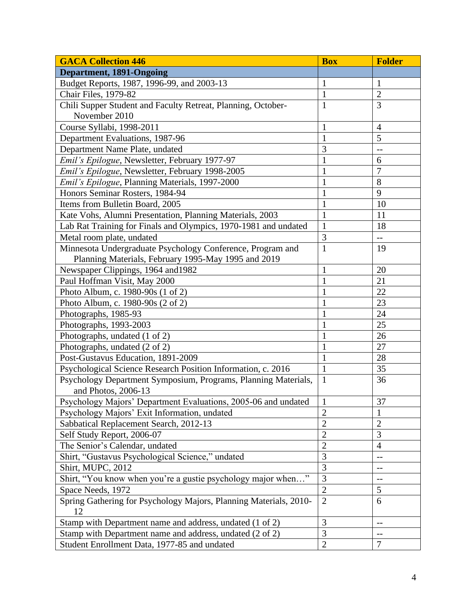| <b>GACA Collection 446</b>                                        | <b>Box</b>     | <b>Folder</b>            |
|-------------------------------------------------------------------|----------------|--------------------------|
| <b>Department, 1891-Ongoing</b>                                   |                |                          |
| Budget Reports, 1987, 1996-99, and 2003-13                        | $\mathbf{1}$   | 1                        |
| Chair Files, 1979-82                                              | $\mathbf{1}$   | $\overline{2}$           |
| Chili Supper Student and Faculty Retreat, Planning, October-      | 1              | 3                        |
| November 2010                                                     |                |                          |
| Course Syllabi, 1998-2011                                         | $\mathbf{1}$   | $\overline{4}$           |
| Department Evaluations, 1987-96                                   | $\mathbf{1}$   | 5                        |
| Department Name Plate, undated                                    | 3              | $-$                      |
| Emil's Epilogue, Newsletter, February 1977-97                     | $\mathbf{1}$   | 6                        |
| Emil's Epilogue, Newsletter, February 1998-2005                   |                | $\overline{7}$           |
| Emil's Epilogue, Planning Materials, 1997-2000                    |                | 8                        |
| Honors Seminar Rosters, 1984-94                                   |                | 9                        |
| Items from Bulletin Board, 2005                                   |                | 10                       |
| Kate Vohs, Alumni Presentation, Planning Materials, 2003          | 1              | 11                       |
| Lab Rat Training for Finals and Olympics, 1970-1981 and undated   | $\mathbf{1}$   | 18                       |
| Metal room plate, undated                                         | 3              | $\overline{\phantom{m}}$ |
| Minnesota Undergraduate Psychology Conference, Program and        | $\mathbf{1}$   | 19                       |
| Planning Materials, February 1995-May 1995 and 2019               |                |                          |
| Newspaper Clippings, 1964 and 1982                                | $\mathbf{1}$   | $20\,$                   |
| Paul Hoffman Visit, May 2000                                      | $\mathbf{1}$   | 21                       |
| Photo Album, c. 1980-90s (1 of 2)                                 | $\mathbf{1}$   | 22                       |
| Photo Album, c. 1980-90s (2 of 2)                                 | 1              | 23                       |
| Photographs, 1985-93                                              |                | 24                       |
| Photographs, 1993-2003                                            |                | 25                       |
| Photographs, undated (1 of 2)                                     | $\mathbf{1}$   | 26                       |
| Photographs, undated (2 of 2)                                     |                | 27                       |
| Post-Gustavus Education, 1891-2009                                | $\mathbf{1}$   | 28                       |
| Psychological Science Research Position Information, c. 2016      | $\mathbf{1}$   | 35                       |
| Psychology Department Symposium, Programs, Planning Materials,    | $\mathbf{1}$   | 36                       |
| and Photos, 2006-13                                               |                |                          |
| Psychology Majors' Department Evaluations, 2005-06 and undated    | $\vert$ 1      | 37                       |
| Psychology Majors' Exit Information, undated                      | $\overline{2}$ | 1                        |
| Sabbatical Replacement Search, 2012-13                            | $\overline{2}$ | $\overline{2}$           |
| Self Study Report, 2006-07                                        | $\overline{2}$ | 3                        |
| The Senior's Calendar, undated                                    | $\overline{2}$ | $\overline{4}$           |
| Shirt, "Gustavus Psychological Science," undated                  | 3              | --                       |
| Shirt, MUPC, 2012                                                 | 3              | $-$                      |
| Shirt, "You know when you're a gustie psychology major when"      | 3              | $-$                      |
| Space Needs, 1972                                                 | $\overline{2}$ | 5                        |
| Spring Gathering for Psychology Majors, Planning Materials, 2010- | $\overline{2}$ | 6                        |
| 12                                                                |                |                          |
| Stamp with Department name and address, undated (1 of 2)          | 3              | $-$                      |
| Stamp with Department name and address, undated (2 of 2)          | 3              | $-$                      |
| Student Enrollment Data, 1977-85 and undated                      | $\overline{2}$ | 7                        |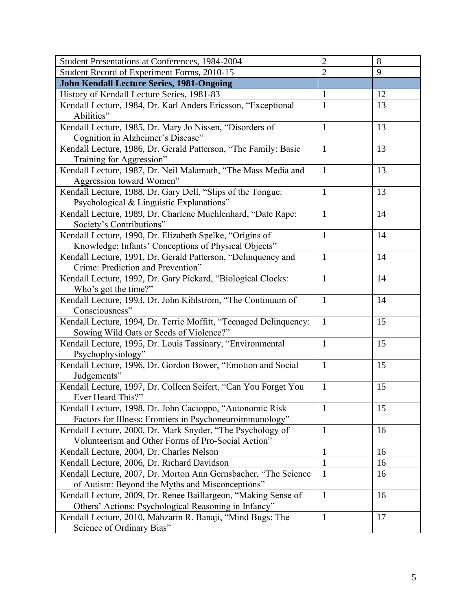| Student Presentations at Conferences, 1984-2004                   | $\overline{2}$ | 8  |
|-------------------------------------------------------------------|----------------|----|
| Student Record of Experiment Forms, 2010-15                       | $\overline{2}$ | 9  |
| <b>John Kendall Lecture Series, 1981-Ongoing</b>                  |                |    |
| History of Kendall Lecture Series, 1981-83                        | $\mathbf{1}$   | 12 |
| Kendall Lecture, 1984, Dr. Karl Anders Ericsson, "Exceptional     | 1              | 13 |
| Abilities"                                                        |                |    |
| Kendall Lecture, 1985, Dr. Mary Jo Nissen, "Disorders of          | $\mathbf{1}$   | 13 |
| Cognition in Alzheimer's Disease"                                 |                |    |
| Kendall Lecture, 1986, Dr. Gerald Patterson, "The Family: Basic   | $\mathbf{1}$   | 13 |
| Training for Aggression"                                          |                |    |
| Kendall Lecture, 1987, Dr. Neil Malamuth, "The Mass Media and     | $\mathbf{1}$   | 13 |
| Aggression toward Women"                                          |                |    |
| Kendall Lecture, 1988, Dr. Gary Dell, "Slips of the Tongue:       | $\mathbf{1}$   | 13 |
| Psychological & Linguistic Explanations"                          |                |    |
| Kendall Lecture, 1989, Dr. Charlene Muehlenhard, "Date Rape:      | $\mathbf{1}$   | 14 |
| Society's Contributions"                                          |                |    |
| Kendall Lecture, 1990, Dr. Elizabeth Spelke, "Origins of          | $\mathbf{1}$   | 14 |
| Knowledge: Infants' Conceptions of Physical Objects"              |                |    |
| Kendall Lecture, 1991, Dr. Gerald Patterson, "Delinquency and     | $\mathbf{1}$   | 14 |
| Crime: Prediction and Prevention"                                 |                |    |
| Kendall Lecture, 1992, Dr. Gary Pickard, "Biological Clocks:      | $\mathbf{1}$   | 14 |
| Who's got the time?"                                              |                |    |
| Kendall Lecture, 1993, Dr. John Kihlstrom, "The Continuum of      | $\mathbf{1}$   | 14 |
| Consciousness"                                                    |                |    |
| Kendall Lecture, 1994, Dr. Terrie Moffitt, "Teenaged Delinquency: | $\mathbf{1}$   | 15 |
| Sowing Wild Oats or Seeds of Violence?"                           |                |    |
| Kendall Lecture, 1995, Dr. Louis Tassinary, "Environmental        | $\mathbf{1}$   | 15 |
| Psychophysiology"                                                 |                |    |
| Kendall Lecture, 1996, Dr. Gordon Bower, "Emotion and Social      | $\mathbf{1}$   | 15 |
| Judgements"                                                       |                |    |
| Kendall Lecture, 1997, Dr. Colleen Seifert, "Can You Forget You   | $\mathbf{1}$   | 15 |
| Ever Heard This?"                                                 |                |    |
| Kendall Lecture, 1998, Dr. John Cacioppo, "Autonomic Risk         | $\mathbf{1}$   | 15 |
| Factors for Illness: Frontiers in Psychoneuroimmunology"          |                |    |
| Kendall Lecture, 2000, Dr. Mark Snyder, "The Psychology of        | $\mathbf{1}$   | 16 |
| Volunteerism and Other Forms of Pro-Social Action"                |                |    |
| Kendall Lecture, 2004, Dr. Charles Nelson                         | $\mathbf{1}$   | 16 |
| Kendall Lecture, 2006, Dr. Richard Davidson                       | $\mathbf{1}$   | 16 |
| Kendall Lecture, 2007, Dr. Morton Ann Gernsbacher, "The Science   | 1              | 16 |
| of Autism: Beyond the Myths and Misconceptions"                   |                |    |
| Kendall Lecture, 2009, Dr. Renee Baillargeon, "Making Sense of    | $\mathbf{1}$   | 16 |
| Others' Actions: Psychological Reasoning in Infancy"              |                |    |
| Kendall Lecture, 2010, Mahzarin R. Banaji, "Mind Bugs: The        | $\mathbf{1}$   | 17 |
| Science of Ordinary Bias"                                         |                |    |